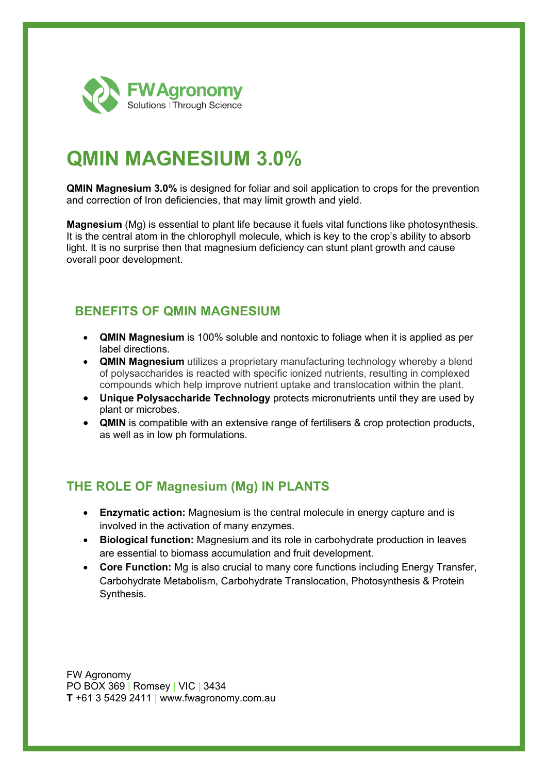

# **QMIN MAGNESIUM 3.0%**

**QMIN Magnesium 3.0%** is designed for foliar and soil application to crops for the prevention and correction of Iron deficiencies, that may limit growth and yield.

**Magnesium** (Mg) is essential to plant life because it fuels vital functions like photosynthesis. It is the central atom in the chlorophyll molecule, which is key to the crop's ability to absorb light. It is no surprise then that magnesium deficiency can stunt plant growth and cause overall poor development.

#### **BENEFITS OF QMIN MAGNESIUM**

- **QMIN Magnesium** is 100% soluble and nontoxic to foliage when it is applied as per label directions.
- **QMIN Magnesium** utilizes a proprietary manufacturing technology whereby a blend of polysaccharides is reacted with specific ionized nutrients, resulting in complexed compounds which help improve nutrient uptake and translocation within the plant.
- **Unique Polysaccharide Technology** protects micronutrients until they are used by plant or microbes.
- **QMIN** is compatible with an extensive range of fertilisers & crop protection products, as well as in low ph formulations.

## **THE ROLE OF Magnesium (Mg) IN PLANTS**

- **Enzymatic action:** Magnesium is the central molecule in energy capture and is involved in the activation of many enzymes.
- **Biological function:** Magnesium and its role in carbohydrate production in leaves are essential to biomass accumulation and fruit development.
- **Core Function:** Mg is also crucial to many core functions including Energy Transfer, Carbohydrate Metabolism, Carbohydrate Translocation, Photosynthesis & Protein Synthesis.

FW Agronomy PO BOX 369 | Romsey | VIC | 3434 **T** +61 3 5429 2411 | www.fwagronomy.com.au